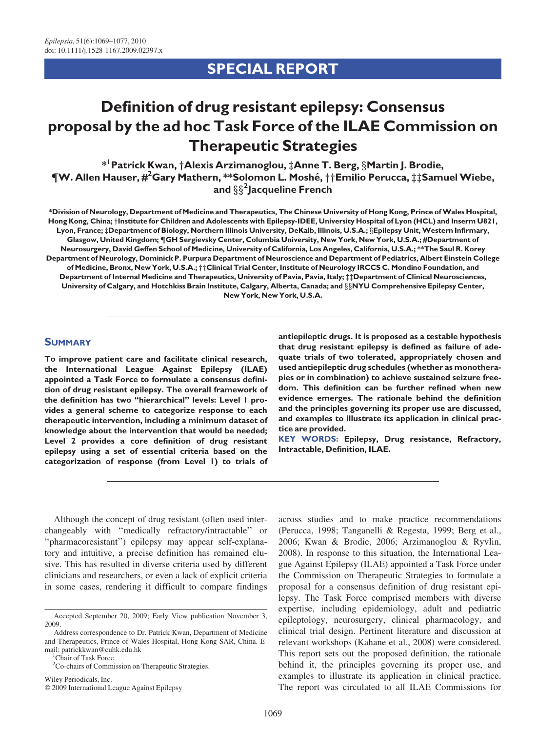# SPECIAL REPORT

# Definition of drug resistant epilepsy: Consensus proposal by the ad hoc Task Force of the ILAE Commission on Therapeutic Strategies

 $^{\ast}$ 'Patrick Kwan, †Alexis Arzimanoglou, ‡Anne T. Berg,  $\S$ Martin J. Brodie, ¶W. Allen Hauser, #<sup>2</sup>Gary Mathern, \*\*Solomon L. Moshé, ††Emilio Perucca, ‡‡Samuel Wiebe, and  $\S\S^2$ Jacqueline French

\*Division of Neurology, Department of Medicine and Therapeutics, The Chinese University of Hong Kong, Prince of Wales Hospital, Hong Kong, China; †Institute for Children and Adolescents with Epilepsy-IDEE, University Hospital of Lyon (HCL) and Inserm U821, Lyon, France;  $\ddagger$ Department of Biology, Northern Illinois University, DeKalb, Illinois, U.S.A.; §Epilepsy Unit, Western Infirmary, Glasgow, United Kingdom; {GH Sergievsky Center, Columbia University, New York, New York, U.S.A.; #Department of Neurosurgery, David Geffen School of Medicine, University of California, Los Angeles, California, U.S.A.; \*\*The Saul R. Korey Department of Neurology, Dominick P. Purpura Department of Neuroscience and Department of Pediatrics, Albert Einstein College of Medicine, Bronx, New York, U.S.A.;  $\dagger\uparrow$ Clinical Trial Center, Institute of Neurology IRCCS C. Mondino Foundation, and Department of Internal Medicine and Therapeutics, University of Pavia, Pavia, Italy; ##Department of Clinical Neurosciences, University of Calgary, and Hotchkiss Brain Institute, Calgary, Alberta, Canada; and §§NYU Comprehensive Epilepsy Center, New York, New York, U.S.A.

## **SUMMARY**

To improve patient care and facilitate clinical research, the International League Against Epilepsy (ILAE) appointed a Task Force to formulate a consensus definition of drug resistant epilepsy. The overall framework of the definition has two ''hierarchical'' levels: Level 1 provides a general scheme to categorize response to each therapeutic intervention, including a minimum dataset of knowledge about the intervention that would be needed; Level 2 provides a core definition of drug resistant epilepsy using a set of essential criteria based on the categorization of response (from Level 1) to trials of

antiepileptic drugs. It is proposed as a testable hypothesis that drug resistant epilepsy is defined as failure of adequate trials of two tolerated, appropriately chosen and used antiepileptic drug schedules (whether as monotherapies or in combination) to achieve sustained seizure freedom. This definition can be further refined when new evidence emerges. The rationale behind the definition and the principles governing its proper use are discussed, and examples to illustrate its application in clinical practice are provided.

KEY WORDS: Epilepsy, Drug resistance, Refractory, Intractable, Definition, ILAE.

Although the concept of drug resistant (often used interchangeably with ''medically refractory/intractable'' or ''pharmacoresistant'') epilepsy may appear self-explanatory and intuitive, a precise definition has remained elusive. This has resulted in diverse criteria used by different clinicians and researchers, or even a lack of explicit criteria in some cases, rendering it difficult to compare findings

Wiley Periodicals, Inc.

© 2009 International League Against Epilepsy

across studies and to make practice recommendations (Perucca, 1998; Tanganelli & Regesta, 1999; Berg et al., 2006; Kwan & Brodie, 2006; Arzimanoglou & Ryvlin, 2008). In response to this situation, the International League Against Epilepsy (ILAE) appointed a Task Force under the Commission on Therapeutic Strategies to formulate a proposal for a consensus definition of drug resistant epilepsy. The Task Force comprised members with diverse expertise, including epidemiology, adult and pediatric epileptology, neurosurgery, clinical pharmacology, and clinical trial design. Pertinent literature and discussion at relevant workshops (Kahane et al., 2008) were considered. This report sets out the proposed definition, the rationale behind it, the principles governing its proper use, and examples to illustrate its application in clinical practice. The report was circulated to all ILAE Commissions for

Accepted September 20, 2009; Early View publication November 3, 2009.

Address correspondence to Dr. Patrick Kwan, Department of Medicine and Therapeutics, Prince of Wales Hospital, Hong Kong SAR, China. Email: patrickkwan@cuhk.edu.hk <sup>1</sup>

<sup>&</sup>lt;sup>1</sup>Chair of Task Force.

<sup>&</sup>lt;sup>2</sup>Co-chairs of Commission on Therapeutic Strategies.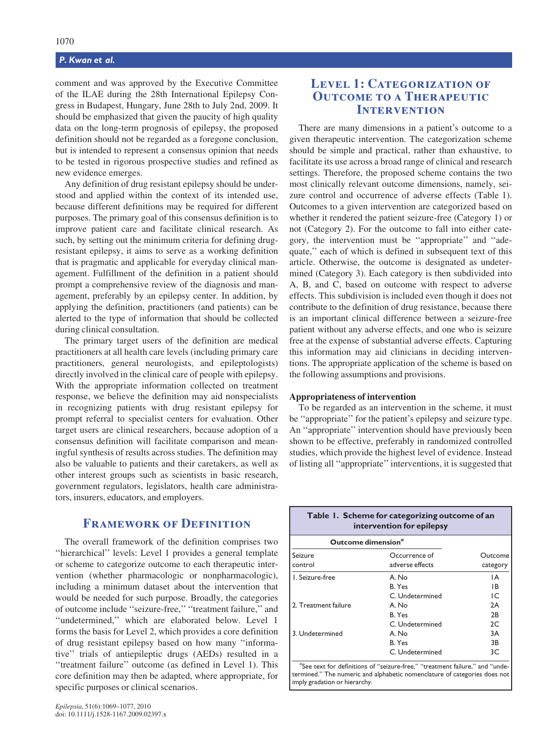comment and was approved by the Executive Committee of the ILAE during the 28th International Epilepsy Congress in Budapest, Hungary, June 28th to July 2nd, 2009. It should be emphasized that given the paucity of high quality data on the long-term prognosis of epilepsy, the proposed definition should not be regarded as a foregone conclusion, but is intended to represent a consensus opinion that needs to be tested in rigorous prospective studies and refined as new evidence emerges.

Any definition of drug resistant epilepsy should be understood and applied within the context of its intended use, because different definitions may be required for different purposes. The primary goal of this consensus definition is to improve patient care and facilitate clinical research. As such, by setting out the minimum criteria for defining drugresistant epilepsy, it aims to serve as a working definition that is pragmatic and applicable for everyday clinical management. Fulfillment of the definition in a patient should prompt a comprehensive review of the diagnosis and management, preferably by an epilepsy center. In addition, by applying the definition, practitioners (and patients) can be alerted to the type of information that should be collected during clinical consultation.

The primary target users of the definition are medical practitioners at all health care levels (including primary care practitioners, general neurologists, and epileptologists) directly involved in the clinical care of people with epilepsy. With the appropriate information collected on treatment response, we believe the definition may aid nonspecialists in recognizing patients with drug resistant epilepsy for prompt referral to specialist centers for evaluation. Other target users are clinical researchers, because adoption of a consensus definition will facilitate comparison and meaningful synthesis of results across studies. The definition may also be valuable to patients and their caretakers, as well as other interest groups such as scientists in basic research, government regulators, legislators, health care administrators, insurers, educators, and employers.

## FRAMEWORK OF DEFINITION

The overall framework of the definition comprises two "hierarchical" levels: Level 1 provides a general template or scheme to categorize outcome to each therapeutic intervention (whether pharmacologic or nonpharmacologic), including a minimum dataset about the intervention that would be needed for such purpose. Broadly, the categories of outcome include ''seizure-free,'' ''treatment failure,'' and ''undetermined,'' which are elaborated below. Level 1 forms the basis for Level 2, which provides a core definition of drug resistant epilepsy based on how many ''informative'' trials of antiepileptic drugs (AEDs) resulted in a ''treatment failure'' outcome (as defined in Level 1). This core definition may then be adapted, where appropriate, for specific purposes or clinical scenarios.

## LEVEL 1: CATEGORIZATION OF **OUTCOME TO A THERAPEUTIC INTERVENTION**

There are many dimensions in a patient's outcome to a given therapeutic intervention. The categorization scheme should be simple and practical, rather than exhaustive, to facilitate its use across a broad range of clinical and research settings. Therefore, the proposed scheme contains the two most clinically relevant outcome dimensions, namely, seizure control and occurrence of adverse effects (Table 1). Outcomes to a given intervention are categorized based on whether it rendered the patient seizure-free (Category 1) or not (Category 2). For the outcome to fall into either category, the intervention must be ''appropriate'' and ''adequate,'' each of which is defined in subsequent text of this article. Otherwise, the outcome is designated as undetermined (Category 3). Each category is then subdivided into A, B, and C, based on outcome with respect to adverse effects. This subdivision is included even though it does not contribute to the definition of drug resistance, because there is an important clinical difference between a seizure-free patient without any adverse effects, and one who is seizure free at the expense of substantial adverse effects. Capturing this information may aid clinicians in deciding interventions. The appropriate application of the scheme is based on the following assumptions and provisions.

#### Appropriateness of intervention

To be regarded as an intervention in the scheme, it must be ''appropriate'' for the patient's epilepsy and seizure type. An ''appropriate'' intervention should have previously been shown to be effective, preferably in randomized controlled studies, which provide the highest level of evidence. Instead of listing all ''appropriate'' interventions, it is suggested that

| Table 1. Scheme for categorizing outcome of an<br>intervention for epilepsy |                                                                              |                     |  |  |  |
|-----------------------------------------------------------------------------|------------------------------------------------------------------------------|---------------------|--|--|--|
| Outcome dimension <sup>a</sup>                                              |                                                                              |                     |  |  |  |
| Seizure<br>control                                                          | Occurrence of<br>adverse effects                                             | Outcome<br>category |  |  |  |
| I. Seizure-free                                                             | A. No<br>B. Yes<br>C. Undetermined                                           | ΙA<br>IB.<br>IC.    |  |  |  |
| 2. Treatment failure                                                        | A. No<br>B. Yes<br>C. Undetermined                                           | 2A<br>2B<br>2C      |  |  |  |
| 3. Undetermined                                                             | A. No<br>B. Yes<br>C. Undetermined                                           | 3A<br>3B<br>3C      |  |  |  |
|                                                                             | "See text for definitions of "seizure-free," "treatment failure," and "unde- |                     |  |  |  |

termined.'' The numeric and alphabetic nomenclature of categories does not imply gradation or hierarchy.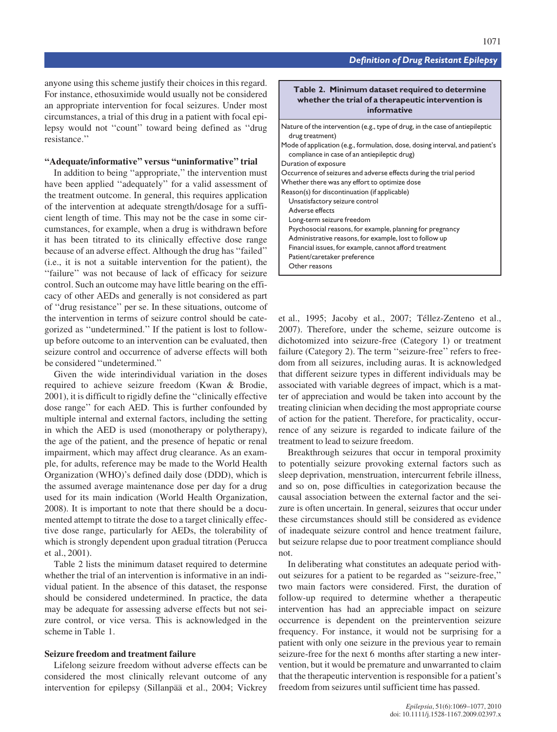anyone using this scheme justify their choices in this regard. For instance, ethosuximide would usually not be considered an appropriate intervention for focal seizures. Under most circumstances, a trial of this drug in a patient with focal epilepsy would not ''count'' toward being defined as ''drug resistance.''

### ''Adequate/informative'' versus ''uninformative'' trial

In addition to being ''appropriate,'' the intervention must have been applied ''adequately'' for a valid assessment of the treatment outcome. In general, this requires application of the intervention at adequate strength/dosage for a sufficient length of time. This may not be the case in some circumstances, for example, when a drug is withdrawn before it has been titrated to its clinically effective dose range because of an adverse effect. Although the drug has ''failed'' (i.e., it is not a suitable intervention for the patient), the ''failure'' was not because of lack of efficacy for seizure control. Such an outcome may have little bearing on the efficacy of other AEDs and generally is not considered as part of ''drug resistance'' per se. In these situations, outcome of the intervention in terms of seizure control should be categorized as ''undetermined.'' If the patient is lost to followup before outcome to an intervention can be evaluated, then seizure control and occurrence of adverse effects will both be considered ''undetermined.''

Given the wide interindividual variation in the doses required to achieve seizure freedom (Kwan & Brodie, 2001), it is difficult to rigidly define the ''clinically effective dose range'' for each AED. This is further confounded by multiple internal and external factors, including the setting in which the AED is used (monotherapy or polytherapy), the age of the patient, and the presence of hepatic or renal impairment, which may affect drug clearance. As an example, for adults, reference may be made to the World Health Organization (WHO)'s defined daily dose (DDD), which is the assumed average maintenance dose per day for a drug used for its main indication (World Health Organization, 2008). It is important to note that there should be a documented attempt to titrate the dose to a target clinically effective dose range, particularly for AEDs, the tolerability of which is strongly dependent upon gradual titration (Perucca et al., 2001).

Table 2 lists the minimum dataset required to determine whether the trial of an intervention is informative in an individual patient. In the absence of this dataset, the response should be considered undetermined. In practice, the data may be adequate for assessing adverse effects but not seizure control, or vice versa. This is acknowledged in the scheme in Table 1.

## Seizure freedom and treatment failure

Lifelong seizure freedom without adverse effects can be considered the most clinically relevant outcome of any intervention for epilepsy (Sillanpää et al., 2004; Vickrey

| whether the trial of a therapeutic intervention is<br>informative                                                                                    |
|------------------------------------------------------------------------------------------------------------------------------------------------------|
| Nature of the intervention (e.g., type of drug, in the case of antiepileptic<br>drug treatment)                                                      |
| Mode of application (e.g., formulation, dose, dosing interval, and patient's<br>compliance in case of an antiepileptic drug)<br>Duration of exposure |
| Occurrence of seizures and adverse effects during the trial period<br>Whether there was any effort to optimize dose                                  |
| Reason(s) for discontinuation (if applicable)<br>Unsatisfactory seizure control                                                                      |
| Adverse effects<br>Long-term seizure freedom<br>Psychosocial reasons, for example, planning for pregnancy                                            |
| Administrative reasons, for example, lost to follow up<br>Financial issues, for example, cannot afford treatment                                     |
| Patient/caretaker preference<br>Other reasons                                                                                                        |

Table 2. Minimum dataset required to determine

et al., 1995; Jacoby et al., 2007; Téllez-Zenteno et al., 2007). Therefore, under the scheme, seizure outcome is dichotomized into seizure-free (Category 1) or treatment failure (Category 2). The term "seizure-free" refers to freedom from all seizures, including auras. It is acknowledged that different seizure types in different individuals may be associated with variable degrees of impact, which is a matter of appreciation and would be taken into account by the treating clinician when deciding the most appropriate course of action for the patient. Therefore, for practicality, occurrence of any seizure is regarded to indicate failure of the treatment to lead to seizure freedom.

Breakthrough seizures that occur in temporal proximity to potentially seizure provoking external factors such as sleep deprivation, menstruation, intercurrent febrile illness, and so on, pose difficulties in categorization because the causal association between the external factor and the seizure is often uncertain. In general, seizures that occur under these circumstances should still be considered as evidence of inadequate seizure control and hence treatment failure, but seizure relapse due to poor treatment compliance should not.

In deliberating what constitutes an adequate period without seizures for a patient to be regarded as ''seizure-free,'' two main factors were considered. First, the duration of follow-up required to determine whether a therapeutic intervention has had an appreciable impact on seizure occurrence is dependent on the preintervention seizure frequency. For instance, it would not be surprising for a patient with only one seizure in the previous year to remain seizure-free for the next 6 months after starting a new intervention, but it would be premature and unwarranted to claim that the therapeutic intervention is responsible for a patient's freedom from seizures until sufficient time has passed.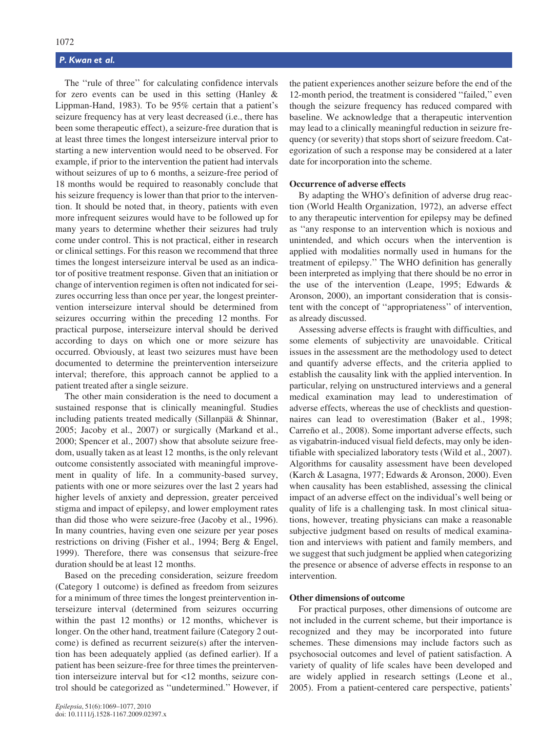The "rule of three" for calculating confidence intervals for zero events can be used in this setting (Hanley & Lippman-Hand, 1983). To be 95% certain that a patient's seizure frequency has at very least decreased (i.e., there has been some therapeutic effect), a seizure-free duration that is at least three times the longest interseizure interval prior to starting a new intervention would need to be observed. For example, if prior to the intervention the patient had intervals without seizures of up to 6 months, a seizure-free period of 18 months would be required to reasonably conclude that his seizure frequency is lower than that prior to the intervention. It should be noted that, in theory, patients with even more infrequent seizures would have to be followed up for many years to determine whether their seizures had truly come under control. This is not practical, either in research or clinical settings. For this reason we recommend that three times the longest interseizure interval be used as an indicator of positive treatment response. Given that an initiation or change of intervention regimen is often not indicated for seizures occurring less than once per year, the longest preintervention interseizure interval should be determined from seizures occurring within the preceding 12 months. For practical purpose, interseizure interval should be derived according to days on which one or more seizure has occurred. Obviously, at least two seizures must have been documented to determine the preintervention interseizure interval; therefore, this approach cannot be applied to a patient treated after a single seizure.

The other main consideration is the need to document a sustained response that is clinically meaningful. Studies including patients treated medically (Sillanpää & Shinnar, 2005; Jacoby et al., 2007) or surgically (Markand et al., 2000; Spencer et al., 2007) show that absolute seizure freedom, usually taken as at least 12 months, is the only relevant outcome consistently associated with meaningful improvement in quality of life. In a community-based survey, patients with one or more seizures over the last 2 years had higher levels of anxiety and depression, greater perceived stigma and impact of epilepsy, and lower employment rates than did those who were seizure-free (Jacoby et al., 1996). In many countries, having even one seizure per year poses restrictions on driving (Fisher et al., 1994; Berg & Engel, 1999). Therefore, there was consensus that seizure-free duration should be at least 12 months.

Based on the preceding consideration, seizure freedom (Category 1 outcome) is defined as freedom from seizures for a minimum of three times the longest preintervention interseizure interval (determined from seizures occurring within the past 12 months) or 12 months, whichever is longer. On the other hand, treatment failure (Category 2 outcome) is defined as recurrent seizure(s) after the intervention has been adequately applied (as defined earlier). If a patient has been seizure-free for three times the preintervention interseizure interval but for <12 months, seizure control should be categorized as ''undetermined.'' However, if the patient experiences another seizure before the end of the 12-month period, the treatment is considered ''failed,'' even though the seizure frequency has reduced compared with baseline. We acknowledge that a therapeutic intervention may lead to a clinically meaningful reduction in seizure frequency (or severity) that stops short of seizure freedom. Categorization of such a response may be considered at a later date for incorporation into the scheme.

#### Occurrence of adverse effects

By adapting the WHO's definition of adverse drug reaction (World Health Organization, 1972), an adverse effect to any therapeutic intervention for epilepsy may be defined as ''any response to an intervention which is noxious and unintended, and which occurs when the intervention is applied with modalities normally used in humans for the treatment of epilepsy.'' The WHO definition has generally been interpreted as implying that there should be no error in the use of the intervention (Leape, 1995; Edwards & Aronson, 2000), an important consideration that is consistent with the concept of ''appropriateness'' of intervention, as already discussed.

Assessing adverse effects is fraught with difficulties, and some elements of subjectivity are unavoidable. Critical issues in the assessment are the methodology used to detect and quantify adverse effects, and the criteria applied to establish the causality link with the applied intervention. In particular, relying on unstructured interviews and a general medical examination may lead to underestimation of adverse effects, whereas the use of checklists and questionnaires can lead to overestimation (Baker et al., 1998; Carreño et al., 2008). Some important adverse effects, such as vigabatrin-induced visual field defects, may only be identifiable with specialized laboratory tests (Wild et al., 2007). Algorithms for causality assessment have been developed (Karch & Lasagna, 1977; Edwards & Aronson, 2000). Even when causality has been established, assessing the clinical impact of an adverse effect on the individual's well being or quality of life is a challenging task. In most clinical situations, however, treating physicians can make a reasonable subjective judgment based on results of medical examination and interviews with patient and family members, and we suggest that such judgment be applied when categorizing the presence or absence of adverse effects in response to an intervention.

#### Other dimensions of outcome

For practical purposes, other dimensions of outcome are not included in the current scheme, but their importance is recognized and they may be incorporated into future schemes. These dimensions may include factors such as psychosocial outcomes and level of patient satisfaction. A variety of quality of life scales have been developed and are widely applied in research settings (Leone et al., 2005). From a patient-centered care perspective, patients'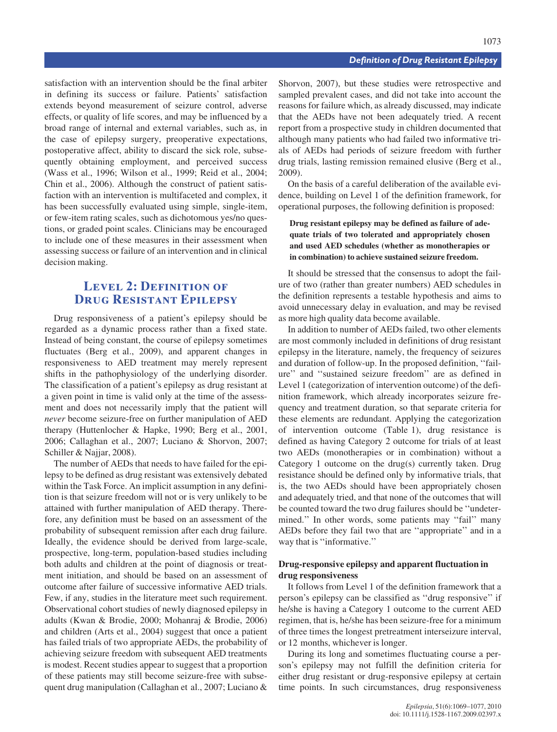satisfaction with an intervention should be the final arbiter in defining its success or failure. Patients' satisfaction extends beyond measurement of seizure control, adverse effects, or quality of life scores, and may be influenced by a broad range of internal and external variables, such as, in the case of epilepsy surgery, preoperative expectations, postoperative affect, ability to discard the sick role, subsequently obtaining employment, and perceived success (Wass et al., 1996; Wilson et al., 1999; Reid et al., 2004; Chin et al., 2006). Although the construct of patient satisfaction with an intervention is multifaceted and complex, it has been successfully evaluated using simple, single-item, or few-item rating scales, such as dichotomous yes/no questions, or graded point scales. Clinicians may be encouraged to include one of these measures in their assessment when assessing success or failure of an intervention and in clinical decision making.

## Level 2: Definition of Drug Resistant Epilepsy

Drug responsiveness of a patient's epilepsy should be regarded as a dynamic process rather than a fixed state. Instead of being constant, the course of epilepsy sometimes fluctuates (Berg et al., 2009), and apparent changes in responsiveness to AED treatment may merely represent shifts in the pathophysiology of the underlying disorder. The classification of a patient's epilepsy as drug resistant at a given point in time is valid only at the time of the assessment and does not necessarily imply that the patient will never become seizure-free on further manipulation of AED therapy (Huttenlocher & Hapke, 1990; Berg et al., 2001, 2006; Callaghan et al., 2007; Luciano & Shorvon, 2007; Schiller & Najjar, 2008).

The number of AEDs that needs to have failed for the epilepsy to be defined as drug resistant was extensively debated within the Task Force. An implicit assumption in any definition is that seizure freedom will not or is very unlikely to be attained with further manipulation of AED therapy. Therefore, any definition must be based on an assessment of the probability of subsequent remission after each drug failure. Ideally, the evidence should be derived from large-scale, prospective, long-term, population-based studies including both adults and children at the point of diagnosis or treatment initiation, and should be based on an assessment of outcome after failure of successive informative AED trials. Few, if any, studies in the literature meet such requirement. Observational cohort studies of newly diagnosed epilepsy in adults (Kwan & Brodie, 2000; Mohanraj & Brodie, 2006) and children (Arts et al., 2004) suggest that once a patient has failed trials of two appropriate AEDs, the probability of achieving seizure freedom with subsequent AED treatments is modest. Recent studies appear to suggest that a proportion of these patients may still become seizure-free with subsequent drug manipulation (Callaghan et al., 2007; Luciano &

Shorvon, 2007), but these studies were retrospective and sampled prevalent cases, and did not take into account the reasons for failure which, as already discussed, may indicate that the AEDs have not been adequately tried. A recent report from a prospective study in children documented that although many patients who had failed two informative trials of AEDs had periods of seizure freedom with further drug trials, lasting remission remained elusive (Berg et al., 2009).

On the basis of a careful deliberation of the available evidence, building on Level 1 of the definition framework, for operational purposes, the following definition is proposed:

## Drug resistant epilepsy may be defined as failure of adequate trials of two tolerated and appropriately chosen and used AED schedules (whether as monotherapies or in combination) to achieve sustained seizure freedom.

It should be stressed that the consensus to adopt the failure of two (rather than greater numbers) AED schedules in the definition represents a testable hypothesis and aims to avoid unnecessary delay in evaluation, and may be revised as more high quality data become available.

In addition to number of AEDs failed, two other elements are most commonly included in definitions of drug resistant epilepsy in the literature, namely, the frequency of seizures and duration of follow-up. In the proposed definition, ''failure'' and ''sustained seizure freedom'' are as defined in Level 1 (categorization of intervention outcome) of the definition framework, which already incorporates seizure frequency and treatment duration, so that separate criteria for these elements are redundant. Applying the categorization of intervention outcome (Table 1), drug resistance is defined as having Category 2 outcome for trials of at least two AEDs (monotherapies or in combination) without a Category 1 outcome on the drug(s) currently taken. Drug resistance should be defined only by informative trials, that is, the two AEDs should have been appropriately chosen and adequately tried, and that none of the outcomes that will be counted toward the two drug failures should be ''undetermined." In other words, some patients may "fail" many AEDs before they fail two that are ''appropriate'' and in a way that is ''informative.''

## Drug-responsive epilepsy and apparent fluctuation in drug responsiveness

It follows from Level 1 of the definition framework that a person's epilepsy can be classified as ''drug responsive'' if he/she is having a Category 1 outcome to the current AED regimen, that is, he/she has been seizure-free for a minimum of three times the longest pretreatment interseizure interval, or 12 months, whichever is longer.

During its long and sometimes fluctuating course a person's epilepsy may not fulfill the definition criteria for either drug resistant or drug-responsive epilepsy at certain time points. In such circumstances, drug responsiveness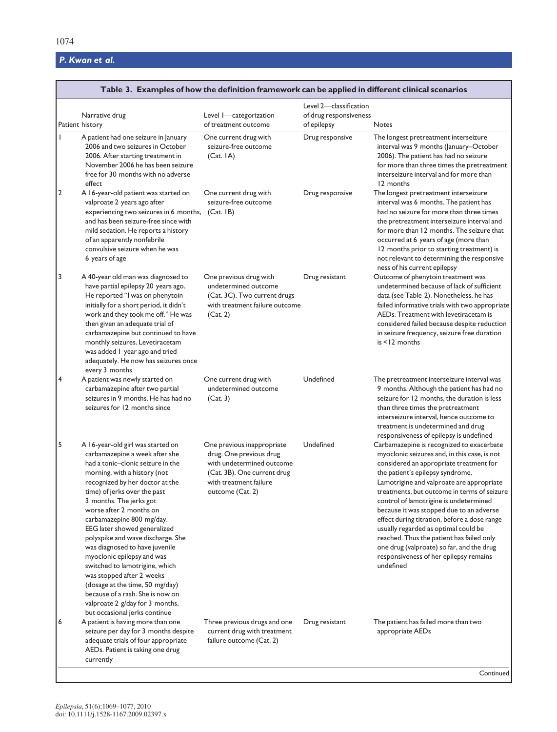| Patient history | Narrative drug                                                                                                                                                                                                                                                                                                                                                                                                                                                                                                                                                                                                                                | Level I-categorization<br>of treatment outcome                                                                                                                  | Level 2-classification<br>of drug responsiveness<br>of epilepsy | <b>Notes</b>                                                                                                                                                                                                                                                                                                                                                                                                                                                                                                                                                                                        |
|-----------------|-----------------------------------------------------------------------------------------------------------------------------------------------------------------------------------------------------------------------------------------------------------------------------------------------------------------------------------------------------------------------------------------------------------------------------------------------------------------------------------------------------------------------------------------------------------------------------------------------------------------------------------------------|-----------------------------------------------------------------------------------------------------------------------------------------------------------------|-----------------------------------------------------------------|-----------------------------------------------------------------------------------------------------------------------------------------------------------------------------------------------------------------------------------------------------------------------------------------------------------------------------------------------------------------------------------------------------------------------------------------------------------------------------------------------------------------------------------------------------------------------------------------------------|
| T               | A patient had one seizure in January<br>2006 and two seizures in October<br>2006. After starting treatment in<br>November 2006 he has been seizure<br>free for 30 months with no adverse<br>effect                                                                                                                                                                                                                                                                                                                                                                                                                                            | One current drug with<br>seizure-free outcome<br>(Cat. IA)                                                                                                      | Drug responsive                                                 | The longest pretreatment interseizure<br>interval was 9 months (January-October<br>2006). The patient has had no seizure<br>for more than three times the pretreatment<br>interseizure interval and for more than<br>12 months                                                                                                                                                                                                                                                                                                                                                                      |
| $\overline{2}$  | A 16-year-old patient was started on<br>valproate 2 years ago after<br>experiencing two seizures in 6 months,<br>and has been seizure-free since with<br>mild sedation. He reports a history<br>of an apparently nonfebrile<br>convulsive seizure when he was<br>6 years of age                                                                                                                                                                                                                                                                                                                                                               | One current drug with<br>seizure-free outcome<br>$(Cat.$ IB)                                                                                                    | Drug responsive                                                 | The longest pretreatment interseizure<br>interval was 6 months. The patient has<br>had no seizure for more than three times<br>the pretreatment interseizure interval and<br>for more than 12 months. The seizure that<br>occurred at 6 years of age (more than<br>12 months prior to starting treatment) is<br>not relevant to determining the responsive<br>ness of his current epilepsy                                                                                                                                                                                                          |
| 3               | A 40-year old man was diagnosed to<br>have partial epilepsy 20 years ago.<br>He reported "I was on phenytoin<br>initially for a short period, it didn't<br>work and they took me off." He was<br>then given an adequate trial of<br>carbamazepine but continued to have<br>monthly seizures. Levetiracetam<br>was added 1 year ago and tried<br>adequately. He now has seizures once<br>every 3 months                                                                                                                                                                                                                                        | One previous drug with<br>undetermined outcome<br>(Cat. 3C). Two current drugs<br>with treatment failure outcome<br>(Cat. 2)                                    | Drug resistant                                                  | Outcome of phenytoin treatment was<br>undetermined because of lack of sufficient<br>data (see Table 2). Nonetheless, he has<br>failed informative trials with two appropriate<br>AEDs. Treatment with levetiracetam is<br>considered failed because despite reduction<br>in seizure frequency, seizure free duration<br>$is < 12$ months                                                                                                                                                                                                                                                            |
| 4               | A patient was newly started on<br>carbamazepine after two partial<br>seizures in 9 months. He has had no<br>seizures for 12 months since                                                                                                                                                                                                                                                                                                                                                                                                                                                                                                      | One current drug with<br>undetermined outcome<br>(Cat. 3)                                                                                                       | Undefined                                                       | The pretreatment interseizure interval was<br>9 months. Although the patient has had no<br>seizure for 12 months, the duration is less<br>than three times the pretreatment<br>interseizure interval, hence outcome to<br>treatment is undetermined and drug<br>responsiveness of epilepsy is undefined                                                                                                                                                                                                                                                                                             |
| 5               | A 16-year-old girl was started on<br>carbamazepine a week after she<br>had a tonic-clonic seizure in the<br>morning, with a history (not<br>recognized by her doctor at the<br>time) of jerks over the past<br>3 months. The jerks got<br>worse after 2 months on<br>carbamazepine 800 mg/day.<br>EEG later showed generalized<br>polyspike and wave discharge. She<br>was diagnosed to have juvenile<br>myoclonic epilepsy and was<br>switched to lamotrigine, which<br>was stopped after 2 weeks<br>(dosage at the time, 50 mg/day)<br>because of a rash. She is now on<br>valproate 2 g/day for 3 months,<br>but occasional jerks continue | One previous inappropriate<br>drug. One previous drug<br>with undetermined outcome<br>(Cat. 3B). One current drug<br>with treatment failure<br>outcome (Cat. 2) | Undefined                                                       | Carbamazepine is recognized to exacerbate<br>myoclonic seizures and, in this case, is not<br>considered an appropriate treatment for<br>the patient's epilepsy syndrome.<br>Lamotrigine and valproate are appropriate<br>treatments, but outcome in terms of seizure<br>control of lamotrigine is undetermined<br>because it was stopped due to an adverse<br>effect during titration, before a dose range<br>usually regarded as optimal could be<br>reached. Thus the patient has failed only<br>one drug (valproate) so far, and the drug<br>responsiveness of her epilepsy remains<br>undefined |
| 6               | A patient is having more than one<br>seizure per day for 3 months despite<br>adequate trials of four appropriate<br>AEDs. Patient is taking one drug<br>currently                                                                                                                                                                                                                                                                                                                                                                                                                                                                             | Three previous drugs and one<br>current drug with treatment<br>failure outcome (Cat. 2)                                                                         | Drug resistant                                                  | The patient has failed more than two<br>appropriate AEDs                                                                                                                                                                                                                                                                                                                                                                                                                                                                                                                                            |

Г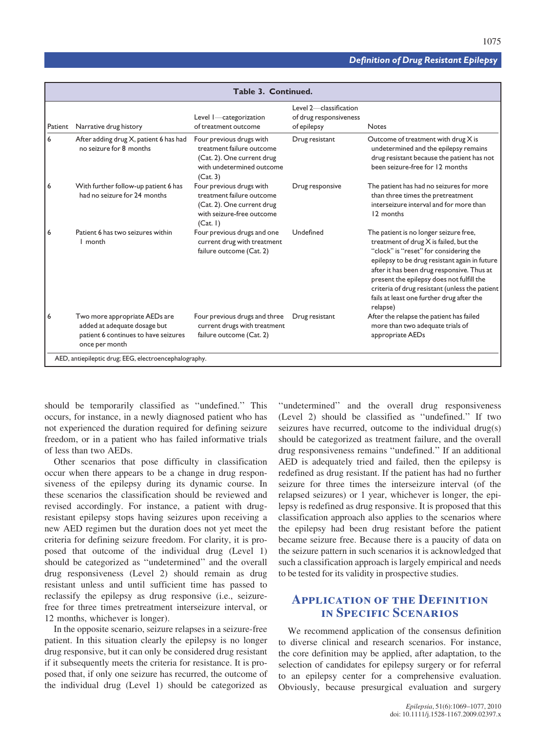| Table 3. Continued.                                   |                                                                                                                         |                                                                                                                              |                                                                 |                                                                                                                                                                                                                                                                                                                                                                                   |
|-------------------------------------------------------|-------------------------------------------------------------------------------------------------------------------------|------------------------------------------------------------------------------------------------------------------------------|-----------------------------------------------------------------|-----------------------------------------------------------------------------------------------------------------------------------------------------------------------------------------------------------------------------------------------------------------------------------------------------------------------------------------------------------------------------------|
| Patient                                               | Narrative drug history                                                                                                  | Level I-categorization<br>of treatment outcome                                                                               | Level 2-classification<br>of drug responsiveness<br>of epilepsy | <b>Notes</b>                                                                                                                                                                                                                                                                                                                                                                      |
| 6                                                     | After adding drug X, patient 6 has had<br>no seizure for 8 months                                                       | Four previous drugs with<br>treatment failure outcome<br>(Cat. 2). One current drug<br>with undetermined outcome<br>(Cat. 3) | Drug resistant                                                  | Outcome of treatment with drug X is<br>undetermined and the epilepsy remains<br>drug resistant because the patient has not<br>been seizure-free for 12 months                                                                                                                                                                                                                     |
| 6                                                     | With further follow-up patient 6 has<br>had no seizure for 24 months                                                    | Four previous drugs with<br>treatment failure outcome<br>(Cat. 2). One current drug<br>with seizure-free outcome<br>(Cat. 1) | Drug responsive                                                 | The patient has had no seizures for more<br>than three times the pretreatment<br>interseizure interval and for more than<br>12 months                                                                                                                                                                                                                                             |
| 6                                                     | Patient 6 has two seizures within<br>I month                                                                            | Four previous drugs and one<br>current drug with treatment<br>failure outcome (Cat. 2)                                       | Undefined                                                       | The patient is no longer seizure free,<br>treatment of drug X is failed, but the<br>"clock" is "reset" for considering the<br>epilepsy to be drug resistant again in future<br>after it has been drug responsive. Thus at<br>present the epilepsy does not fulfill the<br>criteria of drug resistant (unless the patient<br>fails at least one further drug after the<br>relapse) |
| 6                                                     | Two more appropriate AEDs are<br>added at adequate dosage but<br>patient 6 continues to have seizures<br>once per month | Four previous drugs and three<br>current drugs with treatment<br>failure outcome (Cat. 2)                                    | Drug resistant                                                  | After the relapse the patient has failed<br>more than two adequate trials of<br>appropriate AEDs                                                                                                                                                                                                                                                                                  |
| AED, antiepileptic drug; EEG, electroencephalography. |                                                                                                                         |                                                                                                                              |                                                                 |                                                                                                                                                                                                                                                                                                                                                                                   |

should be temporarily classified as ''undefined.'' This occurs, for instance, in a newly diagnosed patient who has not experienced the duration required for defining seizure freedom, or in a patient who has failed informative trials of less than two AEDs.

Other scenarios that pose difficulty in classification occur when there appears to be a change in drug responsiveness of the epilepsy during its dynamic course. In these scenarios the classification should be reviewed and revised accordingly. For instance, a patient with drugresistant epilepsy stops having seizures upon receiving a new AED regimen but the duration does not yet meet the criteria for defining seizure freedom. For clarity, it is proposed that outcome of the individual drug (Level 1) should be categorized as ''undetermined'' and the overall drug responsiveness (Level 2) should remain as drug resistant unless and until sufficient time has passed to reclassify the epilepsy as drug responsive (i.e., seizurefree for three times pretreatment interseizure interval, or 12 months, whichever is longer).

In the opposite scenario, seizure relapses in a seizure-free patient. In this situation clearly the epilepsy is no longer drug responsive, but it can only be considered drug resistant if it subsequently meets the criteria for resistance. It is proposed that, if only one seizure has recurred, the outcome of the individual drug (Level 1) should be categorized as

''undetermined'' and the overall drug responsiveness (Level 2) should be classified as ''undefined.'' If two seizures have recurred, outcome to the individual drug(s) should be categorized as treatment failure, and the overall drug responsiveness remains ''undefined.'' If an additional AED is adequately tried and failed, then the epilepsy is redefined as drug resistant. If the patient has had no further seizure for three times the interseizure interval (of the relapsed seizures) or 1 year, whichever is longer, the epilepsy is redefined as drug responsive. It is proposed that this classification approach also applies to the scenarios where the epilepsy had been drug resistant before the patient became seizure free. Because there is a paucity of data on the seizure pattern in such scenarios it is acknowledged that such a classification approach is largely empirical and needs to be tested for its validity in prospective studies.

## Application of the Definition in Specific Scenarios

We recommend application of the consensus definition to diverse clinical and research scenarios. For instance, the core definition may be applied, after adaptation, to the selection of candidates for epilepsy surgery or for referral to an epilepsy center for a comprehensive evaluation. Obviously, because presurgical evaluation and surgery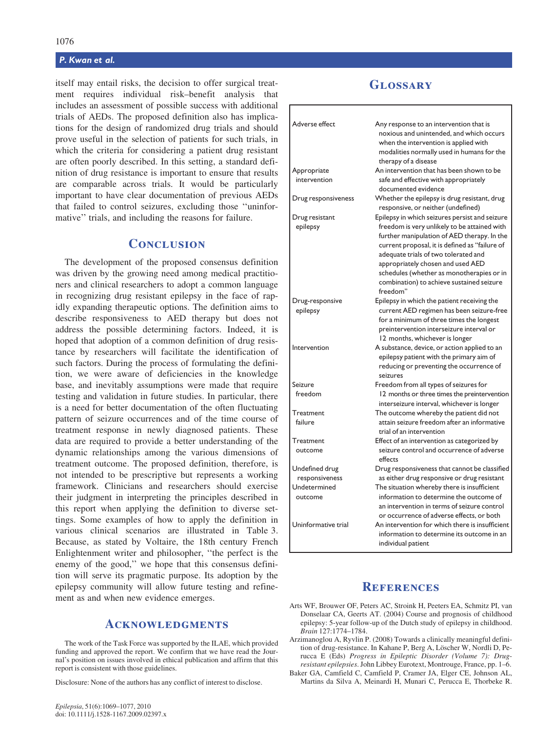itself may entail risks, the decision to offer surgical treatment requires individual risk–benefit analysis that includes an assessment of possible success with additional trials of AEDs. The proposed definition also has implications for the design of randomized drug trials and should prove useful in the selection of patients for such trials, in which the criteria for considering a patient drug resistant are often poorly described. In this setting, a standard definition of drug resistance is important to ensure that results are comparable across trials. It would be particularly important to have clear documentation of previous AEDs that failed to control seizures, excluding those ''uninformative'' trials, and including the reasons for failure.

## **CONCLUSION**

The development of the proposed consensus definition was driven by the growing need among medical practitioners and clinical researchers to adopt a common language in recognizing drug resistant epilepsy in the face of rapidly expanding therapeutic options. The definition aims to describe responsiveness to AED therapy but does not address the possible determining factors. Indeed, it is hoped that adoption of a common definition of drug resistance by researchers will facilitate the identification of such factors. During the process of formulating the definition, we were aware of deficiencies in the knowledge base, and inevitably assumptions were made that require testing and validation in future studies. In particular, there is a need for better documentation of the often fluctuating pattern of seizure occurrences and of the time course of treatment response in newly diagnosed patients. These data are required to provide a better understanding of the dynamic relationships among the various dimensions of treatment outcome. The proposed definition, therefore, is not intended to be prescriptive but represents a working framework. Clinicians and researchers should exercise their judgment in interpreting the principles described in this report when applying the definition to diverse settings. Some examples of how to apply the definition in various clinical scenarios are illustrated in Table 3. Because, as stated by Voltaire, the 18th century French Enlightenment writer and philosopher, ''the perfect is the enemy of the good,'' we hope that this consensus definition will serve its pragmatic purpose. Its adoption by the epilepsy community will allow future testing and refinement as and when new evidence emerges.

## **ACKNOWLEDGMENTS**

The work of the Task Force was supported by the ILAE, which provided funding and approved the report. We confirm that we have read the Journal's position on issues involved in ethical publication and affirm that this report is consistent with those guidelines.

Disclosure: None of the authors has any conflict of interest to disclose.

## **GLOSSARY**

| Adverse effect                   | Any response to an intervention that is<br>noxious and unintended, and which occurs<br>when the intervention is applied with<br>modalities normally used in humans for the<br>therapy of a disease                                                                                                                                                                                 |
|----------------------------------|------------------------------------------------------------------------------------------------------------------------------------------------------------------------------------------------------------------------------------------------------------------------------------------------------------------------------------------------------------------------------------|
| Appropriate                      | An intervention that has been shown to be                                                                                                                                                                                                                                                                                                                                          |
| intervention                     | safe and effective with appropriately<br>documented evidence                                                                                                                                                                                                                                                                                                                       |
| Drug responsiveness              | Whether the epilepsy is drug resistant, drug<br>responsive, or neither (undefined)                                                                                                                                                                                                                                                                                                 |
| Drug resistant<br>epilepsy       | Epilepsy in which seizures persist and seizure<br>freedom is very unlikely to be attained with<br>further manipulation of AED therapy. In the<br>current proposal, it is defined as "failure of<br>adequate trials of two tolerated and<br>appropriately chosen and used AED<br>schedules (whether as monotherapies or in<br>combination) to achieve sustained seizure<br>freedom" |
| Drug-responsive<br>epilepsy      | Epilepsy in which the patient receiving the<br>current AED regimen has been seizure-free<br>for a minimum of three times the longest<br>preintervention interseizure interval or<br>12 months, whichever is longer                                                                                                                                                                 |
| Intervention                     | A substance, device, or action applied to an<br>epilepsy patient with the primary aim of<br>reducing or preventing the occurrence of<br>seizures                                                                                                                                                                                                                                   |
| Seizure                          | Freedom from all types of seizures for                                                                                                                                                                                                                                                                                                                                             |
| freedom                          | 12 months or three times the preintervention<br>interseizure interval, whichever is longer                                                                                                                                                                                                                                                                                         |
| Treatment                        | The outcome whereby the patient did not                                                                                                                                                                                                                                                                                                                                            |
| failure                          | attain seizure freedom after an informative<br>trial of an intervention                                                                                                                                                                                                                                                                                                            |
| Treatment                        | Effect of an intervention as categorized by                                                                                                                                                                                                                                                                                                                                        |
| outcome                          | seizure control and occurrence of adverse<br>effects                                                                                                                                                                                                                                                                                                                               |
| Undefined drug<br>responsiveness | Drug responsiveness that cannot be classified<br>as either drug responsive or drug resistant                                                                                                                                                                                                                                                                                       |
| Undetermined                     | The situation whereby there is insufficient                                                                                                                                                                                                                                                                                                                                        |
| outcome                          | information to determine the outcome of<br>an intervention in terms of seizure control<br>or occurrence of adverse effects, or both                                                                                                                                                                                                                                                |
| Uninformative trial              | An intervention for which there is insufficient<br>information to determine its outcome in an<br>individual patient                                                                                                                                                                                                                                                                |

## **REFERENCES**

- Arts WF, Brouwer OF, Peters AC, Stroink H, Peeters EA, Schmitz PI, van Donselaar CA, Geerts AT. (2004) Course and prognosis of childhood epilepsy: 5-year follow-up of the Dutch study of epilepsy in childhood. Brain 127:1774–1784.
- Arzimanoglou A, Ryvlin P. (2008) Towards a clinically meaningful definition of drug-resistance. In Kahane P, Berg A, Löscher W, Nordli D, Perucca E (Eds) Progress in Epileptic Disorder (Volume 7): Drugresistant epilepsies. John Libbey Eurotext, Montrouge, France, pp. 1–6.
- Baker GA, Camfield C, Camfield P, Cramer JA, Elger CE, Johnson AL, Martins da Silva A, Meinardi H, Munari C, Perucca E, Thorbeke R.